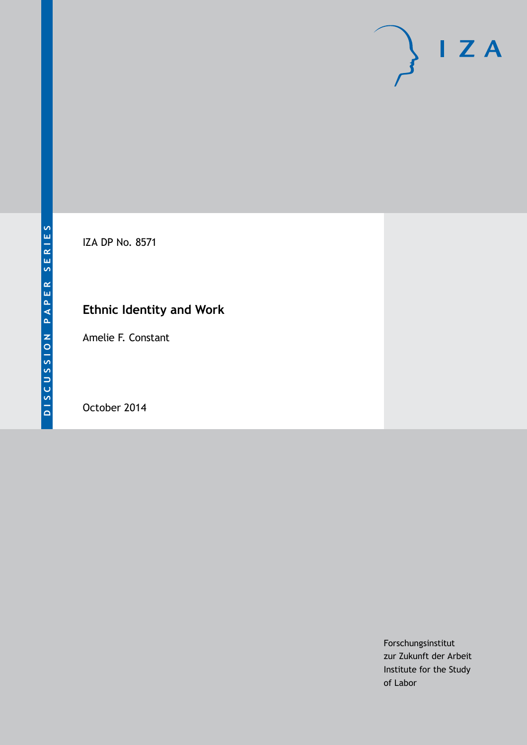

IZA DP No. 8571

# **Ethnic Identity and Work**

Amelie F. Constant

October 2014

Forschungsinstitut zur Zukunft der Arbeit Institute for the Study of Labor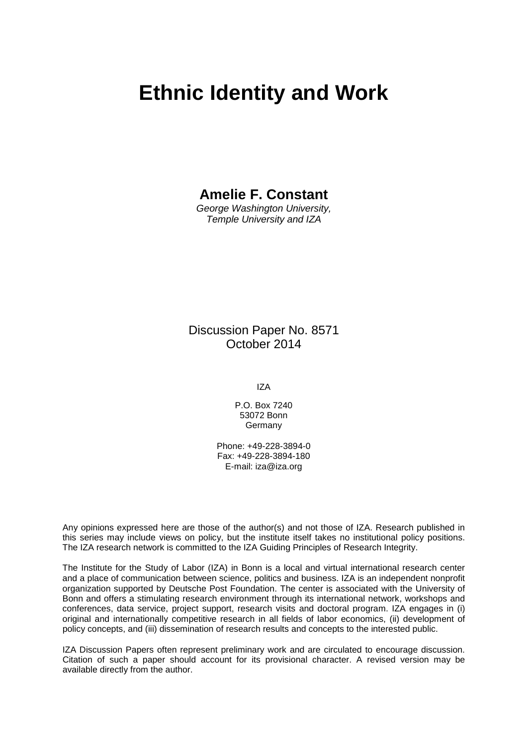# **Ethnic Identity and Work**

# **Amelie F. Constant**

*George Washington University, Temple University and IZA*

Discussion Paper No. 8571 October 2014

IZA

P.O. Box 7240 53072 Bonn **Germany** 

Phone: +49-228-3894-0 Fax: +49-228-3894-180 E-mail: [iza@iza.org](mailto:iza@iza.org)

Any opinions expressed here are those of the author(s) and not those of IZA. Research published in this series may include views on policy, but the institute itself takes no institutional policy positions. The IZA research network is committed to the IZA Guiding Principles of Research Integrity.

The Institute for the Study of Labor (IZA) in Bonn is a local and virtual international research center and a place of communication between science, politics and business. IZA is an independent nonprofit organization supported by Deutsche Post Foundation. The center is associated with the University of Bonn and offers a stimulating research environment through its international network, workshops and conferences, data service, project support, research visits and doctoral program. IZA engages in (i) original and internationally competitive research in all fields of labor economics, (ii) development of policy concepts, and (iii) dissemination of research results and concepts to the interested public.

<span id="page-1-0"></span>IZA Discussion Papers often represent preliminary work and are circulated to encourage discussion. Citation of such a paper should account for its provisional character. A revised version may be available directly from the author.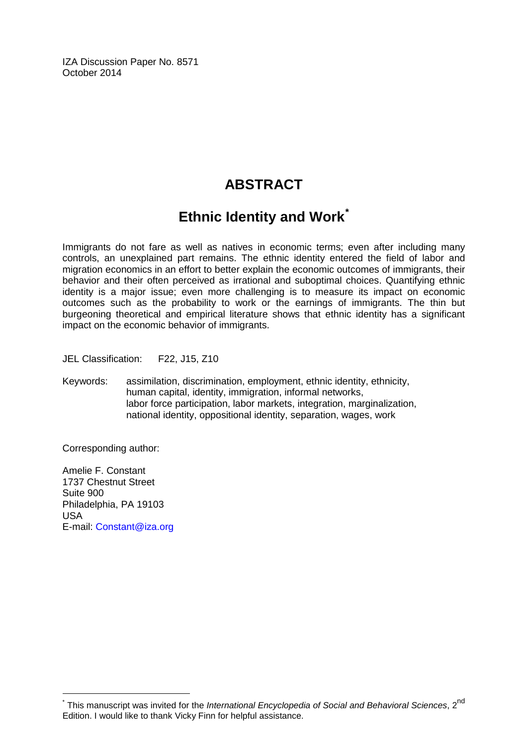IZA Discussion Paper No. 8571 October 2014

# **ABSTRACT**

# **Ethnic Identity and Work[\\*](#page-1-0)**

Immigrants do not fare as well as natives in economic terms; even after including many controls, an unexplained part remains. The ethnic identity entered the field of labor and migration economics in an effort to better explain the economic outcomes of immigrants, their behavior and their often perceived as irrational and suboptimal choices. Quantifying ethnic identity is a major issue; even more challenging is to measure its impact on economic outcomes such as the probability to work or the earnings of immigrants. The thin but burgeoning theoretical and empirical literature shows that ethnic identity has a significant impact on the economic behavior of immigrants.

JEL Classification: F22, J15, Z10

Keywords: assimilation, discrimination, employment, ethnic identity, ethnicity, human capital, identity, immigration, informal networks, labor force participation, labor markets, integration, marginalization, national identity, oppositional identity, separation, wages, work

Corresponding author:

Amelie F. Constant 1737 Chestnut Street Suite 900 Philadelphia, PA 19103 USA E-mail: [Constant@iza.org](mailto:Constant@iza.org)

 $\overline{a}$ 

This manuscript was invited for the *International Encyclopedia of Social and Behavioral Sciences*, 2<sup>nd</sup> Edition. I would like to thank Vicky Finn for helpful assistance.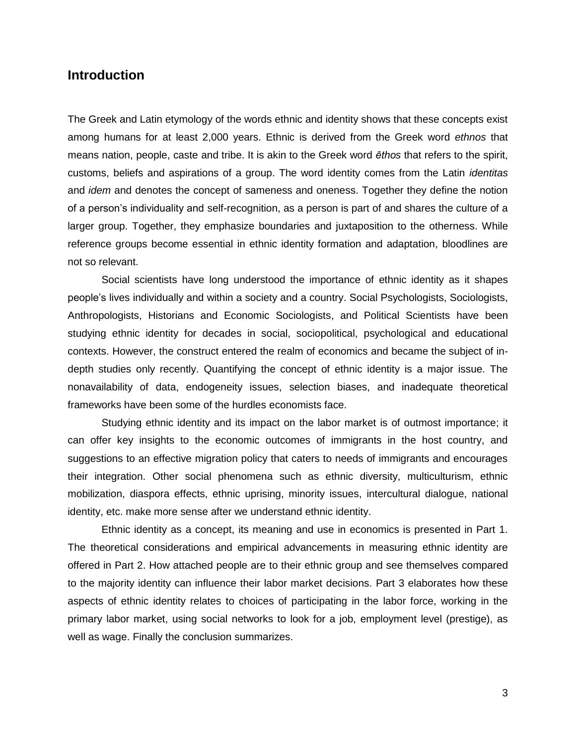### **Introduction**

The Greek and Latin etymology of the words ethnic and identity shows that these concepts exist among humans for at least 2,000 years. Ethnic is derived from the Greek word *ethnos* that means nation, people, caste and tribe. It is akin to the Greek word *ēthos* that refers to the spirit, customs, beliefs and aspirations of a group. The word identity comes from the Latin *identitas* and *idem* and denotes the concept of sameness and oneness. Together they define the notion of a person's individuality and self-recognition, as a person is part of and shares the culture of a larger group. Together, they emphasize boundaries and juxtaposition to the otherness. While reference groups become essential in ethnic identity formation and adaptation, bloodlines are not so relevant.

Social scientists have long understood the importance of ethnic identity as it shapes people's lives individually and within a society and a country. Social Psychologists, Sociologists, Anthropologists, Historians and Economic Sociologists, and Political Scientists have been studying ethnic identity for decades in social, sociopolitical, psychological and educational contexts. However, the construct entered the realm of economics and became the subject of indepth studies only recently. Quantifying the concept of ethnic identity is a major issue. The nonavailability of data, endogeneity issues, selection biases, and inadequate theoretical frameworks have been some of the hurdles economists face.

Studying ethnic identity and its impact on the labor market is of outmost importance; it can offer key insights to the economic outcomes of immigrants in the host country, and suggestions to an effective migration policy that caters to needs of immigrants and encourages their integration. Other social phenomena such as ethnic diversity, multiculturism, ethnic mobilization, diaspora effects, ethnic uprising, minority issues, intercultural dialogue, national identity, etc. make more sense after we understand ethnic identity.

Ethnic identity as a concept, its meaning and use in economics is presented in Part 1. The theoretical considerations and empirical advancements in measuring ethnic identity are offered in Part 2. How attached people are to their ethnic group and see themselves compared to the majority identity can influence their labor market decisions. Part 3 elaborates how these aspects of ethnic identity relates to choices of participating in the labor force, working in the primary labor market, using social networks to look for a job, employment level (prestige), as well as wage. Finally the conclusion summarizes.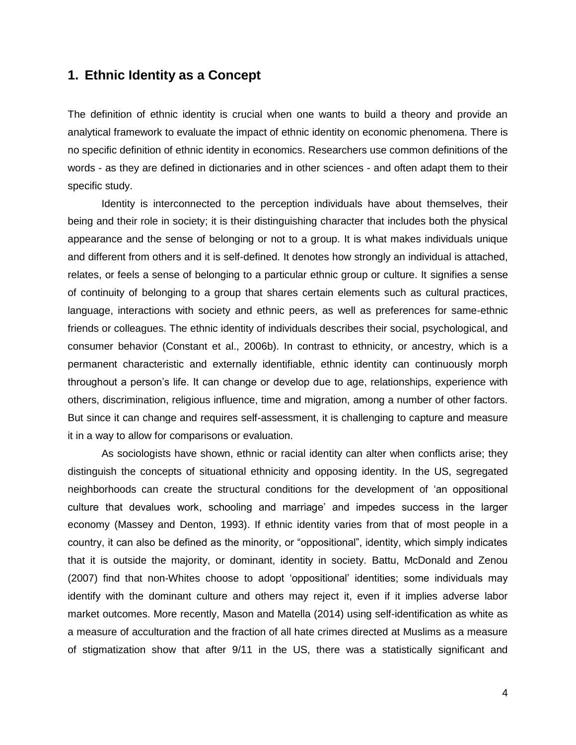### **1. Ethnic Identity as a Concept**

The definition of ethnic identity is crucial when one wants to build a theory and provide an analytical framework to evaluate the impact of ethnic identity on economic phenomena. There is no specific definition of ethnic identity in economics. Researchers use common definitions of the words - as they are defined in dictionaries and in other sciences - and often adapt them to their specific study.

Identity is interconnected to the perception individuals have about themselves, their being and their role in society; it is their distinguishing character that includes both the physical appearance and the sense of belonging or not to a group. It is what makes individuals unique and different from others and it is self-defined. It denotes how strongly an individual is attached, relates, or feels a sense of belonging to a particular ethnic group or culture. It signifies a sense of continuity of belonging to a group that shares certain elements such as cultural practices, language, interactions with society and ethnic peers, as well as preferences for same-ethnic friends or colleagues. The ethnic identity of individuals describes their social, psychological, and consumer behavior (Constant et al., 2006b). In contrast to ethnicity, or ancestry, which is a permanent characteristic and externally identifiable, ethnic identity can continuously morph throughout a person's life. It can change or develop due to age, relationships, experience with others, discrimination, religious influence, time and migration, among a number of other factors. But since it can change and requires self-assessment, it is challenging to capture and measure it in a way to allow for comparisons or evaluation.

As sociologists have shown, ethnic or racial identity can alter when conflicts arise; they distinguish the concepts of situational ethnicity and opposing identity. In the US, segregated neighborhoods can create the structural conditions for the development of 'an oppositional culture that devalues work, schooling and marriage' and impedes success in the larger economy (Massey and Denton, 1993). If ethnic identity varies from that of most people in a country, it can also be defined as the minority, or "oppositional", identity, which simply indicates that it is outside the majority, or dominant, identity in society. Battu, McDonald and Zenou (2007) find that non-Whites choose to adopt 'oppositional' identities; some individuals may identify with the dominant culture and others may reject it, even if it implies adverse labor market outcomes. More recently, Mason and Matella (2014) using self-identification as white as a measure of acculturation and the fraction of all hate crimes directed at Muslims as a measure of stigmatization show that after 9/11 in the US, there was a statistically significant and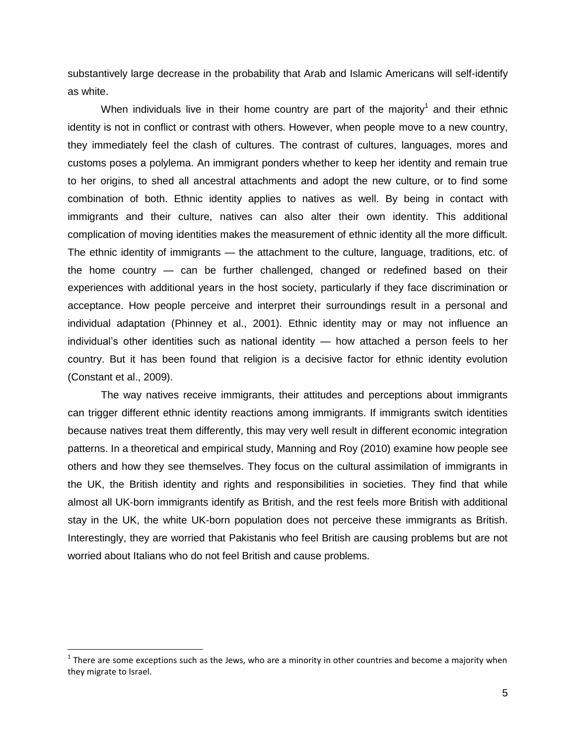substantively large decrease in the probability that Arab and Islamic Americans will self-identify as white.

When individuals live in their home country are part of the majority<sup>1</sup> and their ethnic identity is not in conflict or contrast with others. However, when people move to a new country, they immediately feel the clash of cultures. The contrast of cultures, languages, mores and customs poses a polylema. An immigrant ponders whether to keep her identity and remain true to her origins, to shed all ancestral attachments and adopt the new culture, or to find some combination of both. Ethnic identity applies to natives as well. By being in contact with immigrants and their culture, natives can also alter their own identity. This additional complication of moving identities makes the measurement of ethnic identity all the more difficult. The ethnic identity of immigrants — the attachment to the culture, language, traditions, etc. of the home country — can be further challenged, changed or redefined based on their experiences with additional years in the host society, particularly if they face discrimination or acceptance. How people perceive and interpret their surroundings result in a personal and individual adaptation (Phinney et al., 2001). Ethnic identity may or may not influence an individual's other identities such as national identity — how attached a person feels to her country. But it has been found that religion is a decisive factor for ethnic identity evolution (Constant et al., 2009).

The way natives receive immigrants, their attitudes and perceptions about immigrants can trigger different ethnic identity reactions among immigrants. If immigrants switch identities because natives treat them differently, this may very well result in different economic integration patterns. In a theoretical and empirical study, Manning and Roy (2010) examine how people see others and how they see themselves. They focus on the cultural assimilation of immigrants in the UK, the British identity and rights and responsibilities in societies. They find that while almost all UK-born immigrants identify as British, and the rest feels more British with additional stay in the UK, the white UK-born population does not perceive these immigrants as British. Interestingly, they are worried that Pakistanis who feel British are causing problems but are not worried about Italians who do not feel British and cause problems.

l

 $<sup>1</sup>$  There are some exceptions such as the Jews, who are a minority in other countries and become a majority when</sup> they migrate to Israel.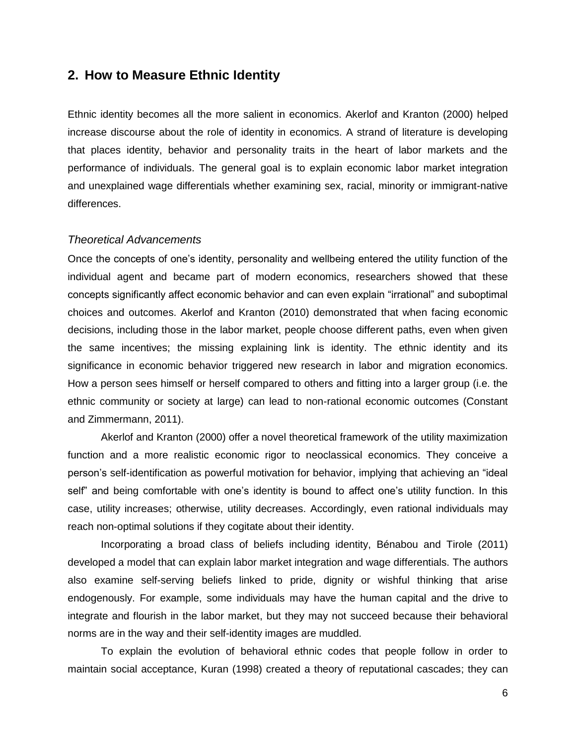### **2. How to Measure Ethnic Identity**

Ethnic identity becomes all the more salient in economics. Akerlof and Kranton (2000) helped increase discourse about the role of identity in economics. A strand of literature is developing that places identity, behavior and personality traits in the heart of labor markets and the performance of individuals. The general goal is to explain economic labor market integration and unexplained wage differentials whether examining sex, racial, minority or immigrant-native differences.

#### *Theoretical Advancements*

Once the concepts of one's identity, personality and wellbeing entered the utility function of the individual agent and became part of modern economics, researchers showed that these concepts significantly affect economic behavior and can even explain "irrational" and suboptimal choices and outcomes. Akerlof and Kranton (2010) demonstrated that when facing economic decisions, including those in the labor market, people choose different paths, even when given the same incentives; the missing explaining link is identity. The ethnic identity and its significance in economic behavior triggered new research in labor and migration economics. How a person sees himself or herself compared to others and fitting into a larger group (i.e. the ethnic community or society at large) can lead to non-rational economic outcomes (Constant and Zimmermann, 2011).

Akerlof and Kranton (2000) offer a novel theoretical framework of the utility maximization function and a more realistic economic rigor to neoclassical economics. They conceive a person's self-identification as powerful motivation for behavior, implying that achieving an "ideal self" and being comfortable with one's identity is bound to affect one's utility function. In this case, utility increases; otherwise, utility decreases. Accordingly, even rational individuals may reach non-optimal solutions if they cogitate about their identity.

Incorporating a broad class of beliefs including identity, Bénabou and Tirole (2011) developed a model that can explain labor market integration and wage differentials. The authors also examine self-serving beliefs linked to pride, dignity or wishful thinking that arise endogenously. For example, some individuals may have the human capital and the drive to integrate and flourish in the labor market, but they may not succeed because their behavioral norms are in the way and their self-identity images are muddled.

To explain the evolution of behavioral ethnic codes that people follow in order to maintain social acceptance, Kuran (1998) created a theory of reputational cascades; they can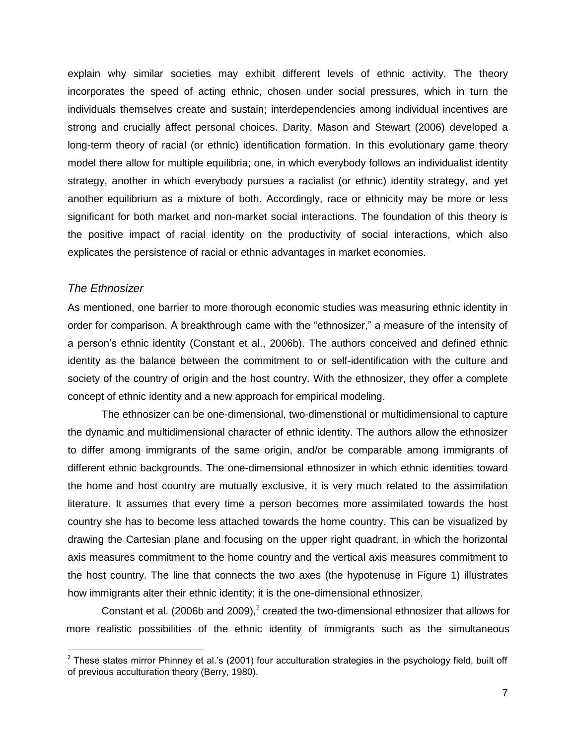explain why similar societies may exhibit different levels of ethnic activity. The theory incorporates the speed of acting ethnic, chosen under social pressures, which in turn the individuals themselves create and sustain; interdependencies among individual incentives are strong and crucially affect personal choices. Darity, Mason and Stewart (2006) developed a long-term theory of racial (or ethnic) identification formation. In this evolutionary game theory model there allow for multiple equilibria; one, in which everybody follows an individualist identity strategy, another in which everybody pursues a racialist (or ethnic) identity strategy, and yet another equilibrium as a mixture of both. Accordingly, race or ethnicity may be more or less significant for both market and non-market social interactions. The foundation of this theory is the positive impact of racial identity on the productivity of social interactions, which also explicates the persistence of racial or ethnic advantages in market economies.

#### *The Ethnosizer*

As mentioned, one barrier to more thorough economic studies was measuring ethnic identity in order for comparison. A breakthrough came with the "ethnosizer," a measure of the intensity of a person's ethnic identity (Constant et al., 2006b). The authors conceived and defined ethnic identity as the balance between the commitment to or self-identification with the culture and society of the country of origin and the host country. With the ethnosizer, they offer a complete concept of ethnic identity and a new approach for empirical modeling.

The ethnosizer can be one-dimensional, two-dimenstional or multidimensional to capture the dynamic and multidimensional character of ethnic identity. The authors allow the ethnosizer to differ among immigrants of the same origin, and/or be comparable among immigrants of different ethnic backgrounds. The one-dimensional ethnosizer in which ethnic identities toward the home and host country are mutually exclusive, it is very much related to the assimilation literature. It assumes that every time a person becomes more assimilated towards the host country she has to become less attached towards the home country. This can be visualized by drawing the Cartesian plane and focusing on the upper right quadrant, in which the horizontal axis measures commitment to the home country and the vertical axis measures commitment to the host country. The line that connects the two axes (the hypotenuse in Figure 1) illustrates how immigrants alter their ethnic identity; it is the one-dimensional ethnosizer.

Constant et al. (2006b and 2009), $^2$  created the two-dimensional ethnosizer that allows for more realistic possibilities of the ethnic identity of immigrants such as the simultaneous

<sup>&</sup>lt;u>2</u><br><sup>2</sup> These states mirror Phinney et al.'s (2001) four acculturation strategies in the psychology field, built off of previous acculturation theory (Berry, 1980).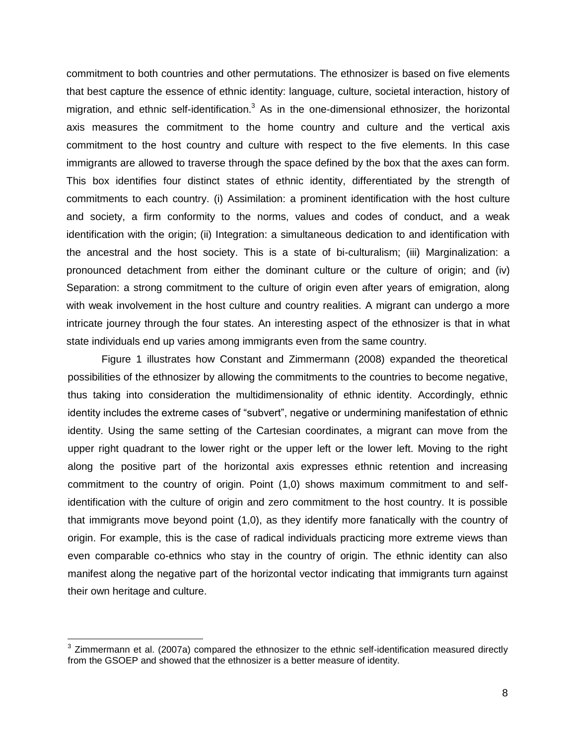commitment to both countries and other permutations. The ethnosizer is based on five elements that best capture the essence of ethnic identity: language, culture, societal interaction, history of migration, and ethnic self-identification. $3$  As in the one-dimensional ethnosizer, the horizontal axis measures the commitment to the home country and culture and the vertical axis commitment to the host country and culture with respect to the five elements. In this case immigrants are allowed to traverse through the space defined by the box that the axes can form. This box identifies four distinct states of ethnic identity, differentiated by the strength of commitments to each country. (i) Assimilation: a prominent identification with the host culture and society, a firm conformity to the norms, values and codes of conduct, and a weak identification with the origin; (ii) Integration: a simultaneous dedication to and identification with the ancestral and the host society. This is a state of bi-culturalism; (iii) Marginalization: a pronounced detachment from either the dominant culture or the culture of origin; and (iv) Separation: a strong commitment to the culture of origin even after years of emigration, along with weak involvement in the host culture and country realities. A migrant can undergo a more intricate journey through the four states. An interesting aspect of the ethnosizer is that in what state individuals end up varies among immigrants even from the same country.

Figure 1 illustrates how Constant and Zimmermann (2008) expanded the theoretical possibilities of the ethnosizer by allowing the commitments to the countries to become negative, thus taking into consideration the multidimensionality of ethnic identity. Accordingly, ethnic identity includes the extreme cases of "subvert", negative or undermining manifestation of ethnic identity. Using the same setting of the Cartesian coordinates, a migrant can move from the upper right quadrant to the lower right or the upper left or the lower left. Moving to the right along the positive part of the horizontal axis expresses ethnic retention and increasing commitment to the country of origin. Point (1,0) shows maximum commitment to and selfidentification with the culture of origin and zero commitment to the host country. It is possible that immigrants move beyond point (1,0), as they identify more fanatically with the country of origin. For example, this is the case of radical individuals practicing more extreme views than even comparable co-ethnics who stay in the country of origin. The ethnic identity can also manifest along the negative part of the horizontal vector indicating that immigrants turn against their own heritage and culture.

 $\overline{\phantom{a}}$ 

 $3$  Zimmermann et al. (2007a) compared the ethnosizer to the ethnic self-identification measured directly from the GSOEP and showed that the ethnosizer is a better measure of identity.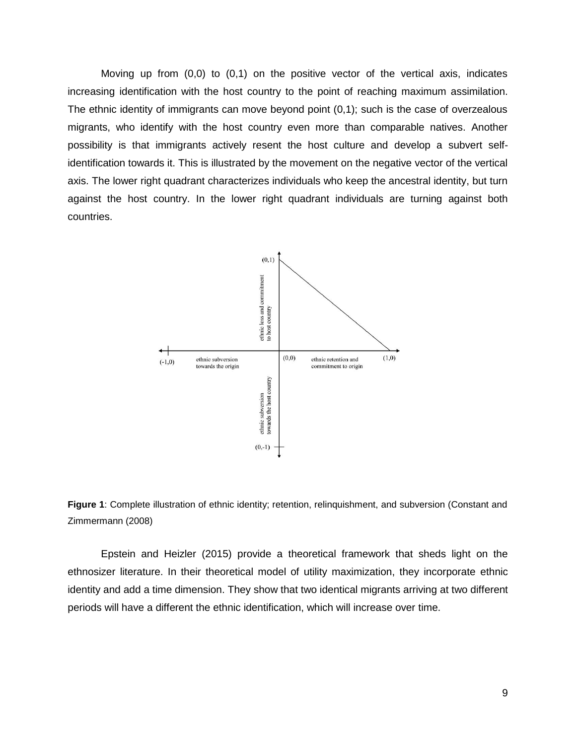Moving up from (0,0) to (0,1) on the positive vector of the vertical axis, indicates increasing identification with the host country to the point of reaching maximum assimilation. The ethnic identity of immigrants can move beyond point (0,1); such is the case of overzealous migrants, who identify with the host country even more than comparable natives. Another possibility is that immigrants actively resent the host culture and develop a subvert selfidentification towards it. This is illustrated by the movement on the negative vector of the vertical axis. The lower right quadrant characterizes individuals who keep the ancestral identity, but turn against the host country. In the lower right quadrant individuals are turning against both countries.





Epstein and Heizler (2015) provide a theoretical framework that sheds light on the ethnosizer literature. In their theoretical model of utility maximization, they incorporate ethnic identity and add a time dimension. They show that two identical migrants arriving at two different periods will have a different the ethnic identification, which will increase over time.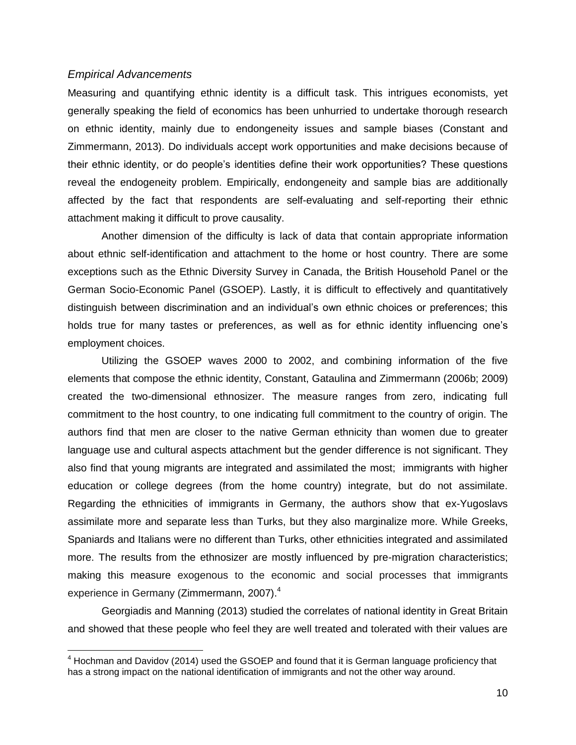#### *Empirical Advancements*

 $\overline{\phantom{a}}$ 

Measuring and quantifying ethnic identity is a difficult task. This intrigues economists, yet generally speaking the field of economics has been unhurried to undertake thorough research on ethnic identity, mainly due to endongeneity issues and sample biases (Constant and Zimmermann, 2013). Do individuals accept work opportunities and make decisions because of their ethnic identity, or do people's identities define their work opportunities? These questions reveal the endogeneity problem. Empirically, endongeneity and sample bias are additionally affected by the fact that respondents are self-evaluating and self-reporting their ethnic attachment making it difficult to prove causality.

Another dimension of the difficulty is lack of data that contain appropriate information about ethnic self-identification and attachment to the home or host country. There are some exceptions such as the Ethnic Diversity Survey in Canada, the British Household Panel or the German Socio-Economic Panel (GSOEP). Lastly, it is difficult to effectively and quantitatively distinguish between discrimination and an individual's own ethnic choices or preferences; this holds true for many tastes or preferences, as well as for ethnic identity influencing one's employment choices.

Utilizing the GSOEP waves 2000 to 2002, and combining information of the five elements that compose the ethnic identity, Constant, Gataulina and Zimmermann (2006b; 2009) created the two-dimensional ethnosizer. The measure ranges from zero, indicating full commitment to the host country, to one indicating full commitment to the country of origin. The authors find that men are closer to the native German ethnicity than women due to greater language use and cultural aspects attachment but the gender difference is not significant. They also find that young migrants are integrated and assimilated the most; immigrants with higher education or college degrees (from the home country) integrate, but do not assimilate. Regarding the ethnicities of immigrants in Germany, the authors show that ex-Yugoslavs assimilate more and separate less than Turks, but they also marginalize more. While Greeks, Spaniards and Italians were no different than Turks, other ethnicities integrated and assimilated more. The results from the ethnosizer are mostly influenced by pre-migration characteristics; making this measure exogenous to the economic and social processes that immigrants experience in Germany (Zimmermann, 2007).<sup>4</sup>

Georgiadis and Manning (2013) studied the correlates of national identity in Great Britain and showed that these people who feel they are well treated and tolerated with their values are

<sup>&</sup>lt;sup>4</sup> Hochman and Davidov (2014) used the GSOEP and found that it is German language proficiency that has a strong impact on the national identification of immigrants and not the other way around.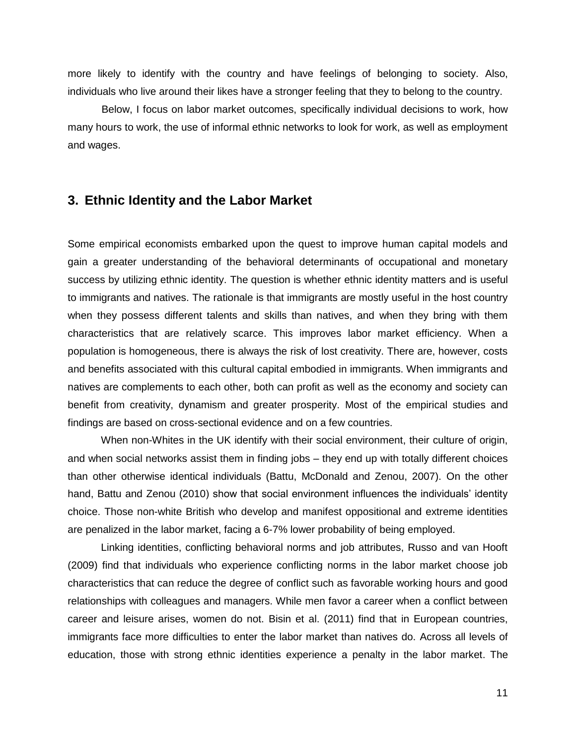more likely to identify with the country and have feelings of belonging to society. Also, individuals who live around their likes have a stronger feeling that they to belong to the country.

Below, I focus on labor market outcomes, specifically individual decisions to work, how many hours to work, the use of informal ethnic networks to look for work, as well as employment and wages.

### **3. Ethnic Identity and the Labor Market**

Some empirical economists embarked upon the quest to improve human capital models and gain a greater understanding of the behavioral determinants of occupational and monetary success by utilizing ethnic identity. The question is whether ethnic identity matters and is useful to immigrants and natives. The rationale is that immigrants are mostly useful in the host country when they possess different talents and skills than natives, and when they bring with them characteristics that are relatively scarce. This improves labor market efficiency. When a population is homogeneous, there is always the risk of lost creativity. There are, however, costs and benefits associated with this cultural capital embodied in immigrants. When immigrants and natives are complements to each other, both can profit as well as the economy and society can benefit from creativity, dynamism and greater prosperity. Most of the empirical studies and findings are based on cross-sectional evidence and on a few countries.

When non-Whites in the UK identify with their social environment, their culture of origin, and when social networks assist them in finding jobs – they end up with totally different choices than other otherwise identical individuals (Battu, McDonald and Zenou, 2007). On the other hand, Battu and Zenou (2010) show that social environment influences the individuals' identity choice. Those non-white British who develop and manifest oppositional and extreme identities are penalized in the labor market, facing a 6-7% lower probability of being employed.

Linking identities, conflicting behavioral norms and job attributes, Russo and van Hooft (2009) find that individuals who experience conflicting norms in the labor market choose job characteristics that can reduce the degree of conflict such as favorable working hours and good relationships with colleagues and managers. While men favor a career when a conflict between career and leisure arises, women do not. Bisin et al. (2011) find that in European countries, immigrants face more difficulties to enter the labor market than natives do. Across all levels of education, those with strong ethnic identities experience a penalty in the labor market. The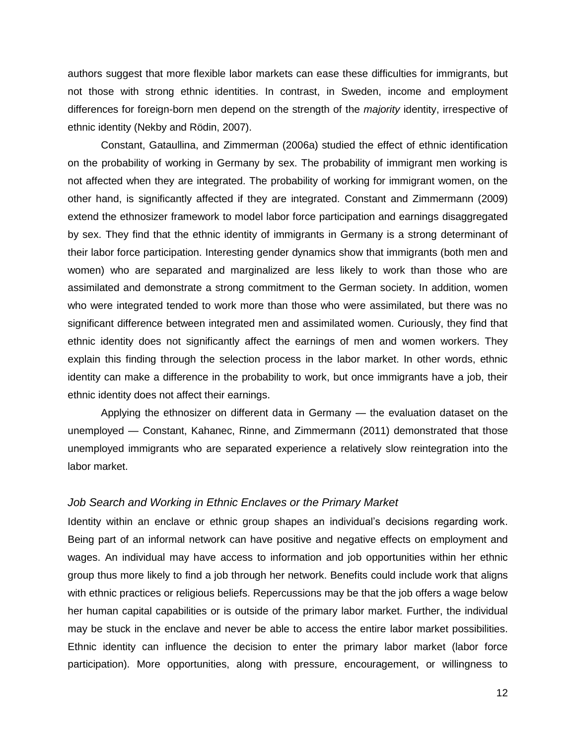authors suggest that more flexible labor markets can ease these difficulties for immigrants, but not those with strong ethnic identities. In contrast, in Sweden, income and employment differences for foreign-born men depend on the strength of the *majority* identity, irrespective of ethnic identity (Nekby and Rödin, 2007).

Constant, Gataullina, and Zimmerman (2006a) studied the effect of ethnic identification on the probability of working in Germany by sex. The probability of immigrant men working is not affected when they are integrated. The probability of working for immigrant women, on the other hand, is significantly affected if they are integrated. Constant and Zimmermann (2009) extend the ethnosizer framework to model labor force participation and earnings disaggregated by sex. They find that the ethnic identity of immigrants in Germany is a strong determinant of their labor force participation. Interesting gender dynamics show that immigrants (both men and women) who are separated and marginalized are less likely to work than those who are assimilated and demonstrate a strong commitment to the German society. In addition, women who were integrated tended to work more than those who were assimilated, but there was no significant difference between integrated men and assimilated women. Curiously, they find that ethnic identity does not significantly affect the earnings of men and women workers. They explain this finding through the selection process in the labor market. In other words, ethnic identity can make a difference in the probability to work, but once immigrants have a job, their ethnic identity does not affect their earnings.

Applying the ethnosizer on different data in Germany — the evaluation dataset on the unemployed — Constant, Kahanec, Rinne, and Zimmermann (2011) demonstrated that those unemployed immigrants who are separated experience a relatively slow reintegration into the labor market.

#### *Job Search and Working in Ethnic Enclaves or the Primary Market*

Identity within an enclave or ethnic group shapes an individual's decisions regarding work. Being part of an informal network can have positive and negative effects on employment and wages. An individual may have access to information and job opportunities within her ethnic group thus more likely to find a job through her network. Benefits could include work that aligns with ethnic practices or religious beliefs. Repercussions may be that the job offers a wage below her human capital capabilities or is outside of the primary labor market. Further, the individual may be stuck in the enclave and never be able to access the entire labor market possibilities. Ethnic identity can influence the decision to enter the primary labor market (labor force participation). More opportunities, along with pressure, encouragement, or willingness to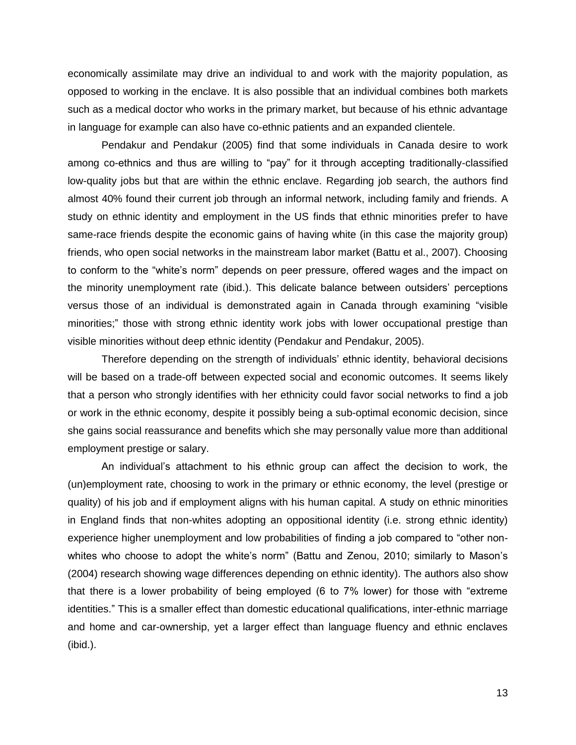economically assimilate may drive an individual to and work with the majority population, as opposed to working in the enclave. It is also possible that an individual combines both markets such as a medical doctor who works in the primary market, but because of his ethnic advantage in language for example can also have co-ethnic patients and an expanded clientele.

Pendakur and Pendakur (2005) find that some individuals in Canada desire to work among co-ethnics and thus are willing to "pay" for it through accepting traditionally-classified low-quality jobs but that are within the ethnic enclave. Regarding job search, the authors find almost 40% found their current job through an informal network, including family and friends. A study on ethnic identity and employment in the US finds that ethnic minorities prefer to have same-race friends despite the economic gains of having white (in this case the majority group) friends, who open social networks in the mainstream labor market (Battu et al., 2007). Choosing to conform to the "white's norm" depends on peer pressure, offered wages and the impact on the minority unemployment rate (ibid.). This delicate balance between outsiders' perceptions versus those of an individual is demonstrated again in Canada through examining "visible minorities;" those with strong ethnic identity work jobs with lower occupational prestige than visible minorities without deep ethnic identity (Pendakur and Pendakur, 2005).

Therefore depending on the strength of individuals' ethnic identity, behavioral decisions will be based on a trade-off between expected social and economic outcomes. It seems likely that a person who strongly identifies with her ethnicity could favor social networks to find a job or work in the ethnic economy, despite it possibly being a sub-optimal economic decision, since she gains social reassurance and benefits which she may personally value more than additional employment prestige or salary.

An individual's attachment to his ethnic group can affect the decision to work, the (un)employment rate, choosing to work in the primary or ethnic economy, the level (prestige or quality) of his job and if employment aligns with his human capital. A study on ethnic minorities in England finds that non-whites adopting an oppositional identity (i.e. strong ethnic identity) experience higher unemployment and low probabilities of finding a job compared to "other nonwhites who choose to adopt the white's norm" (Battu and Zenou, 2010; similarly to Mason's (2004) research showing wage differences depending on ethnic identity). The authors also show that there is a lower probability of being employed (6 to 7% lower) for those with "extreme identities." This is a smaller effect than domestic educational qualifications, inter-ethnic marriage and home and car-ownership, yet a larger effect than language fluency and ethnic enclaves (ibid.).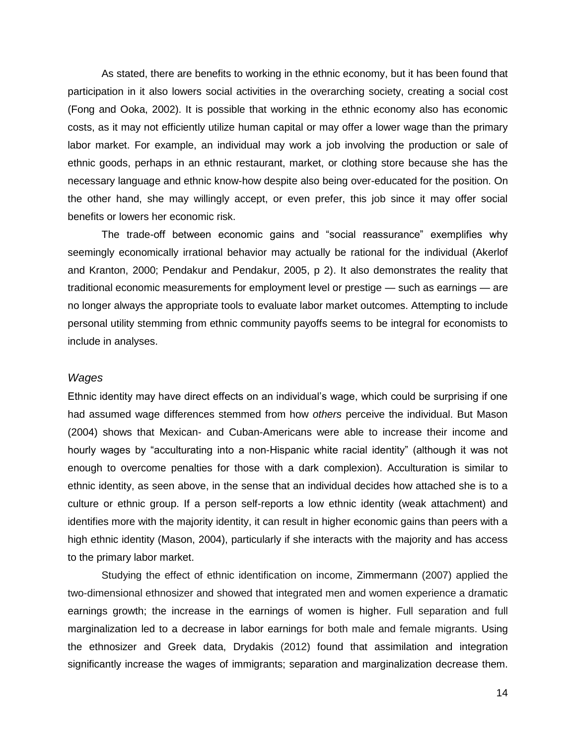As stated, there are benefits to working in the ethnic economy, but it has been found that participation in it also lowers social activities in the overarching society, creating a social cost (Fong and Ooka, 2002). It is possible that working in the ethnic economy also has economic costs, as it may not efficiently utilize human capital or may offer a lower wage than the primary labor market. For example, an individual may work a job involving the production or sale of ethnic goods, perhaps in an ethnic restaurant, market, or clothing store because she has the necessary language and ethnic know-how despite also being over-educated for the position. On the other hand, she may willingly accept, or even prefer, this job since it may offer social benefits or lowers her economic risk.

The trade-off between economic gains and "social reassurance" exemplifies why seemingly economically irrational behavior may actually be rational for the individual (Akerlof and Kranton, 2000; Pendakur and Pendakur, 2005, p 2). It also demonstrates the reality that traditional economic measurements for employment level or prestige — such as earnings — are no longer always the appropriate tools to evaluate labor market outcomes. Attempting to include personal utility stemming from ethnic community payoffs seems to be integral for economists to include in analyses.

#### *Wages*

Ethnic identity may have direct effects on an individual's wage, which could be surprising if one had assumed wage differences stemmed from how *others* perceive the individual. But Mason (2004) shows that Mexican- and Cuban-Americans were able to increase their income and hourly wages by "acculturating into a non-Hispanic white racial identity" (although it was not enough to overcome penalties for those with a dark complexion). Acculturation is similar to ethnic identity, as seen above, in the sense that an individual decides how attached she is to a culture or ethnic group. If a person self-reports a low ethnic identity (weak attachment) and identifies more with the majority identity, it can result in higher economic gains than peers with a high ethnic identity (Mason, 2004), particularly if she interacts with the majority and has access to the primary labor market.

Studying the effect of ethnic identification on income, Zimmermann (2007) applied the two-dimensional ethnosizer and showed that integrated men and women experience a dramatic earnings growth; the increase in the earnings of women is higher. Full separation and full marginalization led to a decrease in labor earnings for both male and female migrants. Using the ethnosizer and Greek data, Drydakis (2012) found that assimilation and integration significantly increase the wages of immigrants; separation and marginalization decrease them.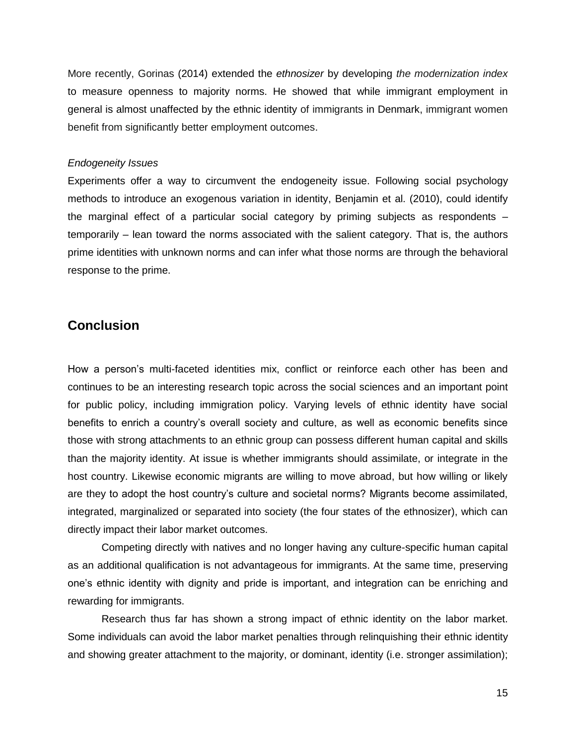More recently, Gorinas (2014) extended the *ethnosizer* by developing *the modernization index*  to measure openness to majority norms. He showed that while immigrant employment in general is almost unaffected by the ethnic identity of immigrants in Denmark, immigrant women benefit from significantly better employment outcomes.

#### *Endogeneity Issues*

Experiments offer a way to circumvent the endogeneity issue. Following social psychology methods to introduce an exogenous variation in identity, Benjamin et al. (2010), could identify the marginal effect of a particular social category by priming subjects as respondents – temporarily – lean toward the norms associated with the salient category. That is, the authors prime identities with unknown norms and can infer what those norms are through the behavioral response to the prime.

## **Conclusion**

How a person's multi-faceted identities mix, conflict or reinforce each other has been and continues to be an interesting research topic across the social sciences and an important point for public policy, including immigration policy. Varying levels of ethnic identity have social benefits to enrich a country's overall society and culture, as well as economic benefits since those with strong attachments to an ethnic group can possess different human capital and skills than the majority identity. At issue is whether immigrants should assimilate, or integrate in the host country. Likewise economic migrants are willing to move abroad, but how willing or likely are they to adopt the host country's culture and societal norms? Migrants become assimilated, integrated, marginalized or separated into society (the four states of the ethnosizer), which can directly impact their labor market outcomes.

Competing directly with natives and no longer having any culture-specific human capital as an additional qualification is not advantageous for immigrants. At the same time, preserving one's ethnic identity with dignity and pride is important, and integration can be enriching and rewarding for immigrants.

Research thus far has shown a strong impact of ethnic identity on the labor market. Some individuals can avoid the labor market penalties through relinquishing their ethnic identity and showing greater attachment to the majority, or dominant, identity (i.e. stronger assimilation);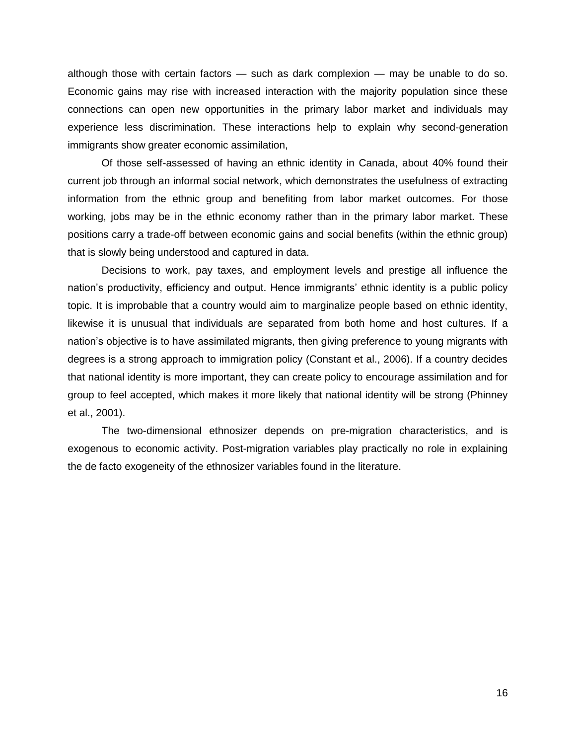although those with certain factors — such as dark complexion — may be unable to do so. Economic gains may rise with increased interaction with the majority population since these connections can open new opportunities in the primary labor market and individuals may experience less discrimination. These interactions help to explain why second-generation immigrants show greater economic assimilation,

Of those self-assessed of having an ethnic identity in Canada, about 40% found their current job through an informal social network, which demonstrates the usefulness of extracting information from the ethnic group and benefiting from labor market outcomes. For those working, jobs may be in the ethnic economy rather than in the primary labor market. These positions carry a trade-off between economic gains and social benefits (within the ethnic group) that is slowly being understood and captured in data.

Decisions to work, pay taxes, and employment levels and prestige all influence the nation's productivity, efficiency and output. Hence immigrants' ethnic identity is a public policy topic. It is improbable that a country would aim to marginalize people based on ethnic identity, likewise it is unusual that individuals are separated from both home and host cultures. If a nation's objective is to have assimilated migrants, then giving preference to young migrants with degrees is a strong approach to immigration policy (Constant et al., 2006). If a country decides that national identity is more important, they can create policy to encourage assimilation and for group to feel accepted, which makes it more likely that national identity will be strong (Phinney et al., 2001).

The two-dimensional ethnosizer depends on pre-migration characteristics, and is exogenous to economic activity. Post-migration variables play practically no role in explaining the de facto exogeneity of the ethnosizer variables found in the literature.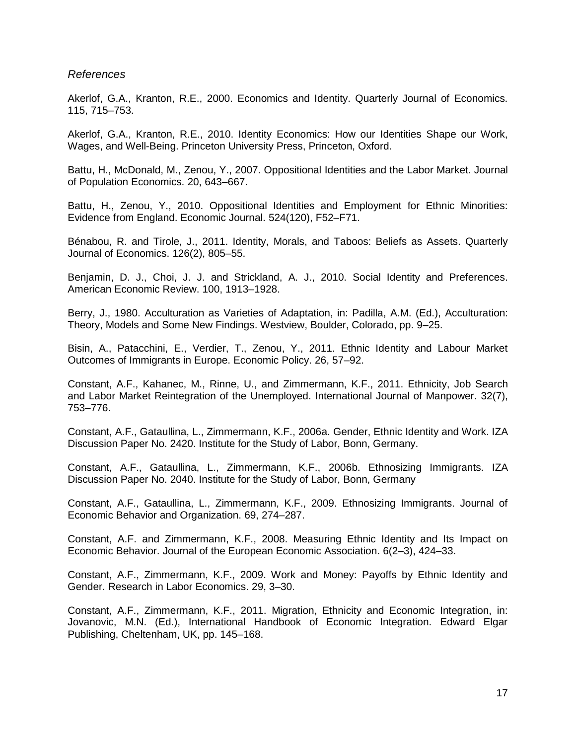#### *References*

Akerlof, G.A., Kranton, R.E., 2000. Economics and Identity. Quarterly Journal of Economics. 115, 715–753.

Akerlof, G.A., Kranton, R.E., 2010. Identity Economics: How our Identities Shape our Work, Wages, and Well-Being. Princeton University Press, Princeton, Oxford.

Battu, H., McDonald, M., Zenou, Y., 2007. Oppositional Identities and the Labor Market. Journal of Population Economics. 20, 643–667.

Battu, H., Zenou, Y., 2010. Oppositional Identities and Employment for Ethnic Minorities: Evidence from England. Economic Journal. 524(120), F52–F71.

Bénabou, R. and Tirole, J., 2011. Identity, Morals, and Taboos: Beliefs as Assets. Quarterly Journal of Economics. 126(2), 805–55.

Benjamin, D. J., Choi, J. J. and Strickland, A. J., 2010. Social Identity and Preferences. American Economic Review. 100, 1913–1928.

Berry, J., 1980. Acculturation as Varieties of Adaptation, in: Padilla, A.M. (Ed.), Acculturation: Theory, Models and Some New Findings. Westview, Boulder, Colorado, pp. 9–25.

Bisin, A., Patacchini, E., Verdier, T., Zenou, Y., 2011. Ethnic Identity and Labour Market Outcomes of Immigrants in Europe. Economic Policy. 26, 57–92.

Constant, A.F., Kahanec, M., Rinne, U., and Zimmermann, K.F., 2011. Ethnicity, Job Search and Labor Market Reintegration of the Unemployed. International Journal of Manpower. 32(7), 753–776.

Constant, A.F., Gataullina, L., Zimmermann, K.F., 2006a. Gender, Ethnic Identity and Work. IZA Discussion Paper No. 2420. Institute for the Study of Labor, Bonn, Germany.

Constant, A.F., Gataullina, L., Zimmermann, K.F., 2006b. Ethnosizing Immigrants. IZA Discussion Paper No. 2040. Institute for the Study of Labor, Bonn, Germany

Constant, A.F., Gataullina, L., Zimmermann, K.F., 2009. Ethnosizing Immigrants. Journal of Economic Behavior and Organization. 69, 274–287.

Constant, A.F. and Zimmermann, K.F., 2008. Measuring Ethnic Identity and Its Impact on Economic Behavior. Journal of the European Economic Association. 6(2–3), 424–33.

Constant, A.F., Zimmermann, K.F., 2009. Work and Money: Payoffs by Ethnic Identity and Gender. Research in Labor Economics. 29, 3–30.

Constant, A.F., Zimmermann, K.F., 2011. Migration, Ethnicity and Economic Integration, in: Jovanovic, M.N. (Ed.), International Handbook of Economic Integration. Edward Elgar Publishing, Cheltenham, UK, pp. 145–168.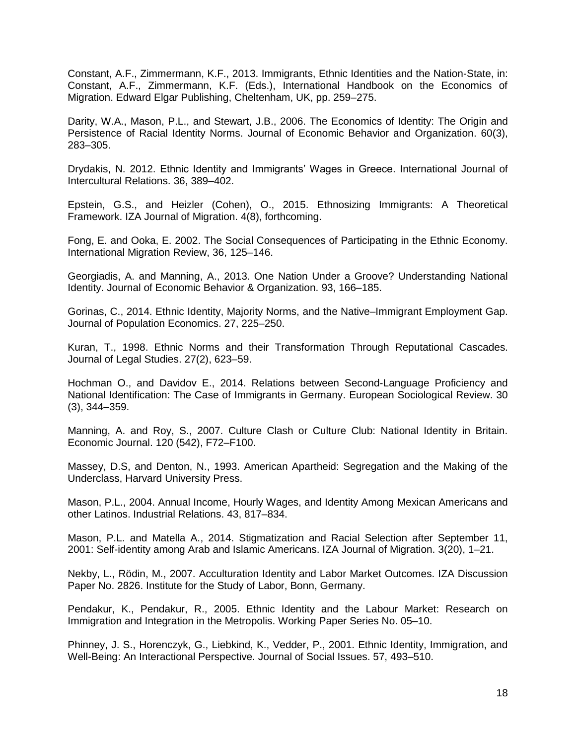Constant, A.F., Zimmermann, K.F., 2013. Immigrants, Ethnic Identities and the Nation-State, in: Constant, A.F., Zimmermann, K.F. (Eds.), International Handbook on the Economics of Migration. Edward Elgar Publishing, Cheltenham, UK, pp. 259–275.

Darity, W.A., Mason, P.L., and Stewart, J.B., 2006. The Economics of Identity: The Origin and Persistence of Racial Identity Norms. Journal of Economic Behavior and Organization. 60(3), 283–305.

Drydakis, N. 2012. Ethnic Identity and Immigrants' Wages in Greece. International Journal of Intercultural Relations. 36, 389–402.

Epstein, G.S., and Heizler (Cohen), O., 2015. Ethnosizing Immigrants: A Theoretical Framework. IZA Journal of Migration. 4(8), forthcoming.

Fong, E. and Ooka, E. 2002. The Social Consequences of Participating in the Ethnic Economy. International Migration Review, 36, 125–146.

Georgiadis, A. and Manning, A., 2013. One Nation Under a Groove? Understanding National Identity. Journal of Economic Behavior & Organization. 93, 166–185.

Gorinas, C., 2014. Ethnic Identity, Majority Norms, and the Native–Immigrant Employment Gap. Journal of Population Economics. 27, 225–250.

Kuran, T., 1998. Ethnic Norms and their Transformation Through Reputational Cascades. Journal of Legal Studies. 27(2), 623–59.

Hochman O., and Davidov E., 2014. Relations between Second-Language Proficiency and National Identification: The Case of Immigrants in Germany. European Sociological Review. 30 (3), 344–359.

Manning, A. and Roy, S., 2007. Culture Clash or Culture Club: National Identity in Britain. Economic Journal. 120 (542), F72–F100.

Massey, D.S, and Denton, N., 1993. American Apartheid: Segregation and the Making of the Underclass, Harvard University Press.

Mason, P.L., 2004. Annual Income, Hourly Wages, and Identity Among Mexican Americans and other Latinos. Industrial Relations. 43, 817–834.

Mason, P.L. and Matella A., 2014. Stigmatization and Racial Selection after September 11, 2001: Self-identity among Arab and Islamic Americans. IZA Journal of Migration. 3(20), 1–21.

Nekby, L., Rödin, M., 2007. Acculturation Identity and Labor Market Outcomes. IZA Discussion Paper No. 2826. Institute for the Study of Labor, Bonn, Germany.

Pendakur, K., Pendakur, R., 2005. Ethnic Identity and the Labour Market: Research on Immigration and Integration in the Metropolis. Working Paper Series No. 05–10.

Phinney, J. S., Horenczyk, G., Liebkind, K., Vedder, P., 2001. Ethnic Identity, Immigration, and Well-Being: An Interactional Perspective. Journal of Social Issues. 57, 493–510.